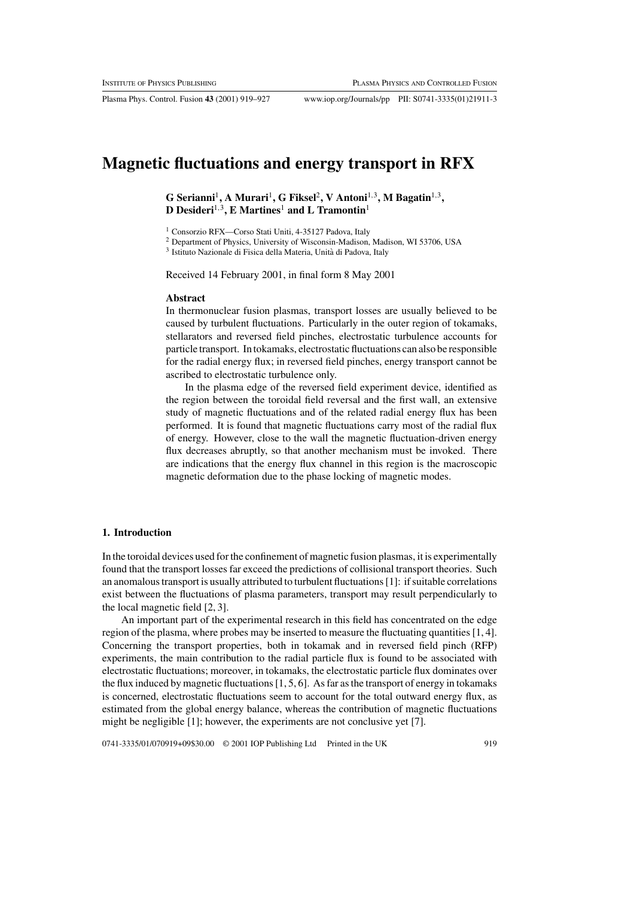Plasma Phys. Control. Fusion **43** (2001) 919–927 www.iop.org/Journals/pp PII: S0741-3335(01)21911-3

# **Magnetic fluctuations and energy transport in RFX**

**G Serianni**1**, A Murari**1**, G Fiksel**2**, V Antoni**1,3**, M Bagatin**1,3**, D Desideri**1,3**, E Martines**<sup>1</sup> **and L Tramontin**<sup>1</sup>

<sup>1</sup> Consorzio RFX—Corso Stati Uniti, 4-35127 Padova, Italy

<sup>2</sup> Department of Physics, University of Wisconsin-Madison, Madison, WI 53706, USA

<sup>3</sup> Istituto Nazionale di Fisica della Materia, Unita di Padova, Italy `

Received 14 February 2001, in final form 8 May 2001

## **Abstract**

In thermonuclear fusion plasmas, transport losses are usually believed to be caused by turbulent fluctuations. Particularly in the outer region of tokamaks, stellarators and reversed field pinches, electrostatic turbulence accounts for particle transport. In tokamaks, electrostatic fluctuations can also be responsible for the radial energy flux; in reversed field pinches, energy transport cannot be ascribed to electrostatic turbulence only.

In the plasma edge of the reversed field experiment device, identified as the region between the toroidal field reversal and the first wall, an extensive study of magnetic fluctuations and of the related radial energy flux has been performed. It is found that magnetic fluctuations carry most of the radial flux of energy. However, close to the wall the magnetic fluctuation-driven energy flux decreases abruptly, so that another mechanism must be invoked. There are indications that the energy flux channel in this region is the macroscopic magnetic deformation due to the phase locking of magnetic modes.

#### **1. Introduction**

In the toroidal devices used for the confinement of magnetic fusion plasmas, it is experimentally found that the transport losses far exceed the predictions of collisional transport theories. Such an anomalous transport is usually attributed to turbulent fluctuations [1]: if suitable correlations exist between the fluctuations of plasma parameters, transport may result perpendicularly to the local magnetic field [2, 3].

An important part of the experimental research in this field has concentrated on the edge region of the plasma, where probes may be inserted to measure the fluctuating quantities [1, 4]. Concerning the transport properties, both in tokamak and in reversed field pinch (RFP) experiments, the main contribution to the radial particle flux is found to be associated with electrostatic fluctuations; moreover, in tokamaks, the electrostatic particle flux dominates over the flux induced by magnetic fluctuations [1, 5, 6]. As far as the transport of energy in tokamaks is concerned, electrostatic fluctuations seem to account for the total outward energy flux, as estimated from the global energy balance, whereas the contribution of magnetic fluctuations might be negligible [1]; however, the experiments are not conclusive yet [7].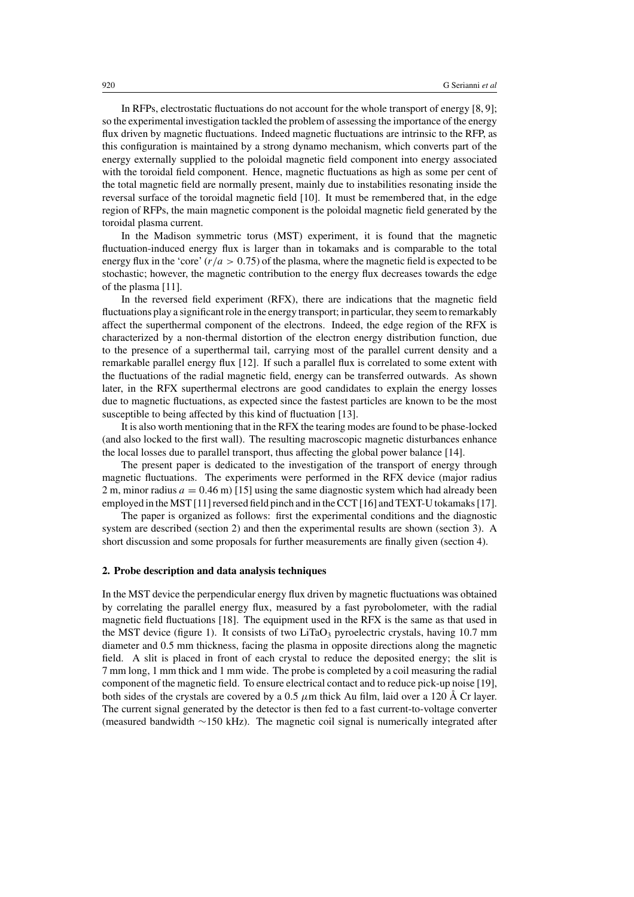In RFPs, electrostatic fluctuations do not account for the whole transport of energy [8, 9]; so the experimental investigation tackled the problem of assessing the importance of the energy flux driven by magnetic fluctuations. Indeed magnetic fluctuations are intrinsic to the RFP, as this configuration is maintained by a strong dynamo mechanism, which converts part of the energy externally supplied to the poloidal magnetic field component into energy associated with the toroidal field component. Hence, magnetic fluctuations as high as some per cent of the total magnetic field are normally present, mainly due to instabilities resonating inside the reversal surface of the toroidal magnetic field [10]. It must be remembered that, in the edge region of RFPs, the main magnetic component is the poloidal magnetic field generated by the toroidal plasma current.

In the Madison symmetric torus (MST) experiment, it is found that the magnetic fluctuation-induced energy flux is larger than in tokamaks and is comparable to the total energy flux in the 'core'  $(r/a > 0.75)$  of the plasma, where the magnetic field is expected to be stochastic; however, the magnetic contribution to the energy flux decreases towards the edge of the plasma [11].

In the reversed field experiment (RFX), there are indications that the magnetic field fluctuations play a significant role in the energy transport; in particular, they seem to remarkably affect the superthermal component of the electrons. Indeed, the edge region of the RFX is characterized by a non-thermal distortion of the electron energy distribution function, due to the presence of a superthermal tail, carrying most of the parallel current density and a remarkable parallel energy flux [12]. If such a parallel flux is correlated to some extent with the fluctuations of the radial magnetic field, energy can be transferred outwards. As shown later, in the RFX superthermal electrons are good candidates to explain the energy losses due to magnetic fluctuations, as expected since the fastest particles are known to be the most susceptible to being affected by this kind of fluctuation [13].

It is also worth mentioning that in the RFX the tearing modes are found to be phase-locked (and also locked to the first wall). The resulting macroscopic magnetic disturbances enhance the local losses due to parallel transport, thus affecting the global power balance [14].

The present paper is dedicated to the investigation of the transport of energy through magnetic fluctuations. The experiments were performed in the RFX device (major radius 2 m, minor radius  $a = 0.46$  m) [15] using the same diagnostic system which had already been employed in the MST [11] reversed field pinch and in the CCT [16] and TEXT-U tokamaks [17].

The paper is organized as follows: first the experimental conditions and the diagnostic system are described (section 2) and then the experimental results are shown (section 3). A short discussion and some proposals for further measurements are finally given (section 4).

#### **2. Probe description and data analysis techniques**

In the MST device the perpendicular energy flux driven by magnetic fluctuations was obtained by correlating the parallel energy flux, measured by a fast pyrobolometer, with the radial magnetic field fluctuations [18]. The equipment used in the RFX is the same as that used in the MST device (figure 1). It consists of two  $LiTaO<sub>3</sub>$  pyroelectric crystals, having 10.7 mm diameter and 0.5 mm thickness, facing the plasma in opposite directions along the magnetic field. A slit is placed in front of each crystal to reduce the deposited energy; the slit is 7 mm long, 1 mm thick and 1 mm wide. The probe is completed by a coil measuring the radial component of the magnetic field. To ensure electrical contact and to reduce pick-up noise [19], both sides of the crystals are covered by a 0.5  $\mu$ m thick Au film, laid over a 120 Å Cr layer. The current signal generated by the detector is then fed to a fast current-to-voltage converter (measured bandwidth ∼150 kHz). The magnetic coil signal is numerically integrated after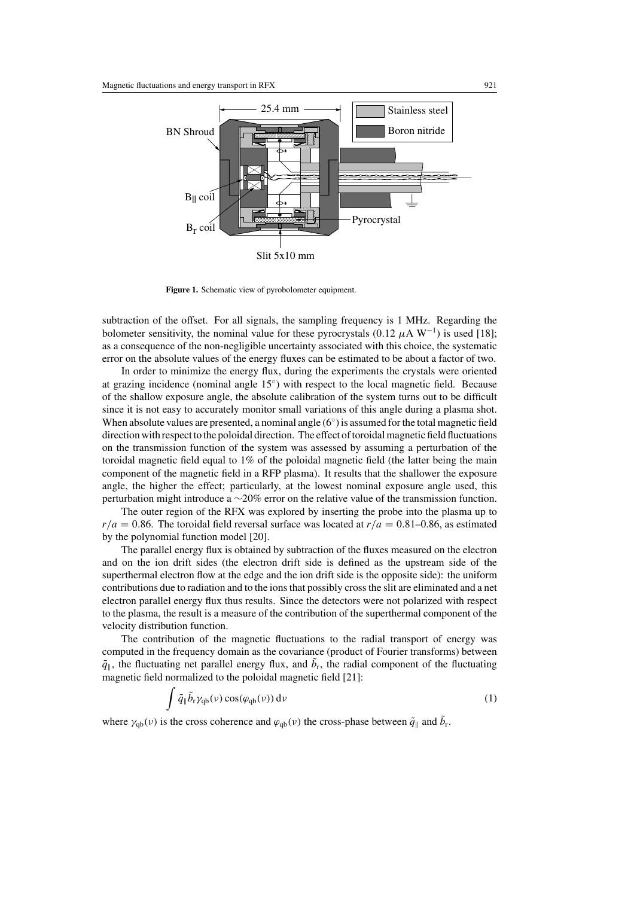

Figure 1. Schematic view of pyrobolometer equipment.

subtraction of the offset. For all signals, the sampling frequency is 1 MHz. Regarding the bolometer sensitivity, the nominal value for these pyrocrystals (0.12  $\mu$ A W<sup>-1</sup>) is used [18]; as a consequence of the non-negligible uncertainty associated with this choice, the systematic error on the absolute values of the energy fluxes can be estimated to be about a factor of two.

In order to minimize the energy flux, during the experiments the crystals were oriented at grazing incidence (nominal angle 15◦) with respect to the local magnetic field. Because of the shallow exposure angle, the absolute calibration of the system turns out to be difficult since it is not easy to accurately monitor small variations of this angle during a plasma shot. When absolute values are presented, a nominal angle  $(6°)$  is assumed for the total magnetic field direction with respect to the poloidal direction. The effect of toroidal magnetic field fluctuations on the transmission function of the system was assessed by assuming a perturbation of the toroidal magnetic field equal to 1% of the poloidal magnetic field (the latter being the main component of the magnetic field in a RFP plasma). It results that the shallower the exposure angle, the higher the effect; particularly, at the lowest nominal exposure angle used, this perturbation might introduce a ∼20% error on the relative value of the transmission function.

The outer region of the RFX was explored by inserting the probe into the plasma up to  $r/a = 0.86$ . The toroidal field reversal surface was located at  $r/a = 0.81$ –0.86, as estimated by the polynomial function model [20].

The parallel energy flux is obtained by subtraction of the fluxes measured on the electron and on the ion drift sides (the electron drift side is defined as the upstream side of the superthermal electron flow at the edge and the ion drift side is the opposite side): the uniform contributions due to radiation and to the ions that possibly cross the slit are eliminated and a net electron parallel energy flux thus results. Since the detectors were not polarized with respect to the plasma, the result is a measure of the contribution of the superthermal component of the velocity distribution function.

The contribution of the magnetic fluctuations to the radial transport of energy was computed in the frequency domain as the covariance (product of Fourier transforms) between  $\tilde{q}_{\parallel}$ , the fluctuating net parallel energy flux, and  $b_{\rm r}$ , the radial component of the fluctuating magnetic field normalized to the poloidal magnetic field [21]:

$$
\int \tilde{q}_{\parallel} \tilde{b}_r \gamma_{\rm qb}(\nu) \cos(\varphi_{\rm qb}(\nu)) \, \mathrm{d}\nu \tag{1}
$$

where  $\gamma_{qb}(\nu)$  is the cross coherence and  $\varphi_{qb}(\nu)$  the cross-phase between  $\tilde{q}_{\parallel}$  and  $\tilde{b}_{r}$ .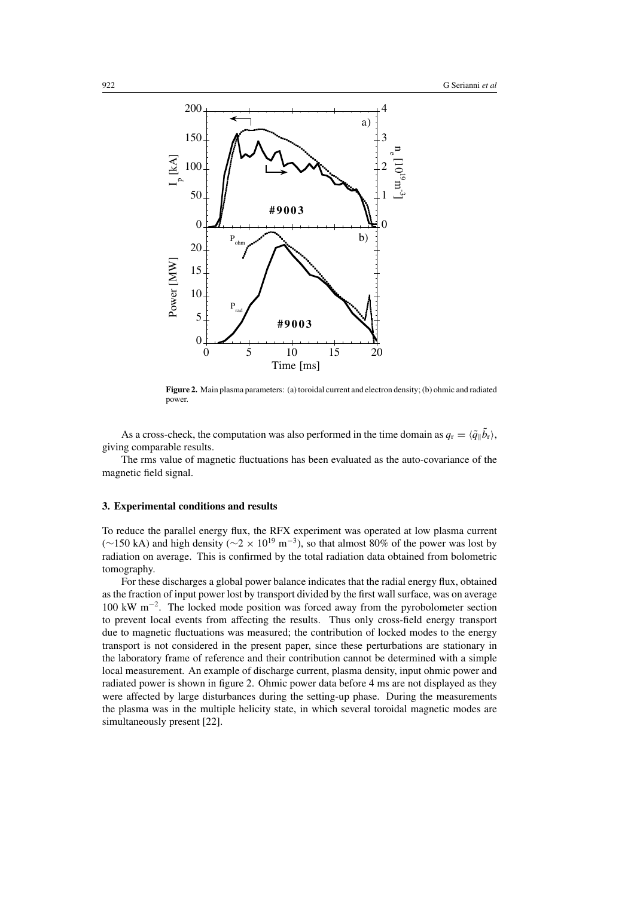

**Figure 2.** Main plasma parameters: (a) toroidal current and electron density; (b) ohmic and radiated power.

As a cross-check, the computation was also performed in the time domain as  $q_r = \langle \tilde{q} \rangle | b_r \rangle$ , giving comparable results.

The rms value of magnetic fluctuations has been evaluated as the auto-covariance of the magnetic field signal.

# **3. Experimental conditions and results**

To reduce the parallel energy flux, the RFX experiment was operated at low plasma current (∼150 kA) and high density ( $\sim$ 2 × 10<sup>19</sup> m<sup>-3</sup>), so that almost 80% of the power was lost by radiation on average. This is confirmed by the total radiation data obtained from bolometric tomography.

For these discharges a global power balance indicates that the radial energy flux, obtained as the fraction of input power lost by transport divided by the first wall surface, was on average 100 kW m−2. The locked mode position was forced away from the pyrobolometer section to prevent local events from affecting the results. Thus only cross-field energy transport due to magnetic fluctuations was measured; the contribution of locked modes to the energy transport is not considered in the present paper, since these perturbations are stationary in the laboratory frame of reference and their contribution cannot be determined with a simple local measurement. An example of discharge current, plasma density, input ohmic power and radiated power is shown in figure 2. Ohmic power data before 4 ms are not displayed as they were affected by large disturbances during the setting-up phase. During the measurements the plasma was in the multiple helicity state, in which several toroidal magnetic modes are simultaneously present [22].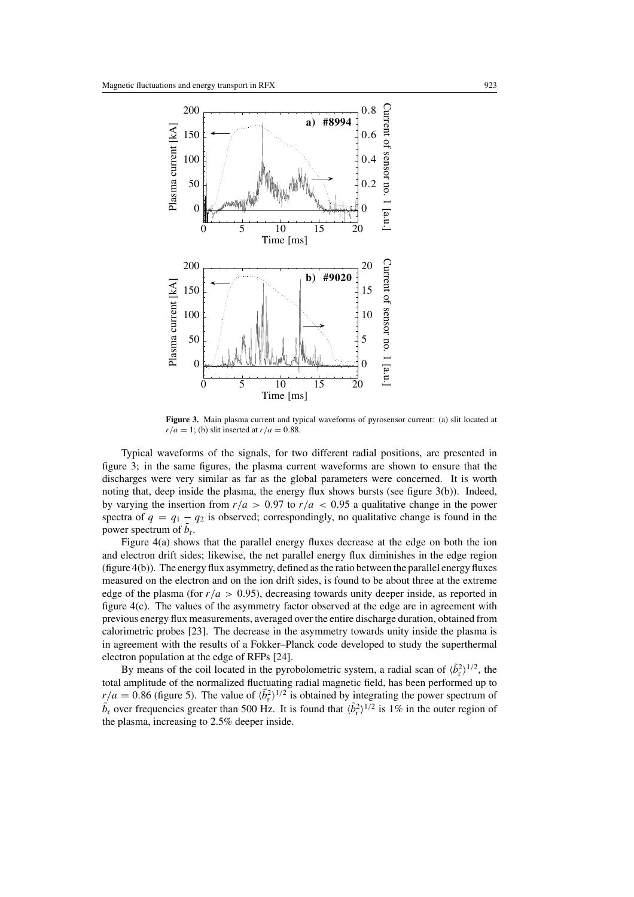

**Figure 3.** Main plasma current and typical waveforms of pyrosensor current: (a) slit located at  $r/a = 1$ ; (b) slit inserted at  $r/a = 0.88$ .

Typical waveforms of the signals, for two different radial positions, are presented in figure 3; in the same figures, the plasma current waveforms are shown to ensure that the discharges were very similar as far as the global parameters were concerned. It is worth noting that, deep inside the plasma, the energy flux shows bursts (see figure 3(b)). Indeed, by varying the insertion from  $r/a > 0.97$  to  $r/a < 0.95$  a qualitative change in the power spectra of  $q = q_1 - q_2$  is observed; correspondingly, no qualitative change is found in the power spectrum of  $b_r$ .

Figure 4(a) shows that the parallel energy fluxes decrease at the edge on both the ion and electron drift sides; likewise, the net parallel energy flux diminishes in the edge region (figure 4(b)). The energy flux asymmetry, defined as the ratio between the parallel energy fluxes measured on the electron and on the ion drift sides, is found to be about three at the extreme edge of the plasma (for  $r/a > 0.95$ ), decreasing towards unity deeper inside, as reported in figure 4(c). The values of the asymmetry factor observed at the edge are in agreement with previous energy flux measurements, averaged over the entire discharge duration, obtained from calorimetric probes [23]. The decrease in the asymmetry towards unity inside the plasma is in agreement with the results of a Fokker–Planck code developed to study the superthermal electron population at the edge of RFPs [24].

By means of the coil located in the pyrobolometric system, a radial scan of  $\langle \tilde{b}_r^2 \rangle^{1/2}$ , the total amplitude of the normalized fluctuating radial magnetic field, has been performed up to  $r/a = 0.86$  (figure 5). The value of  $\langle \tilde{b}_r^2 \rangle^{1/2}$  is obtained by integrating the power spectrum of  $\tilde{b}_r$  over frequencies greater than 500 Hz. It is found that  $\langle \tilde{b}_r^2 \rangle^{1/2}$  is 1% in the outer region of the plasma, increasing to 2.5% deeper inside.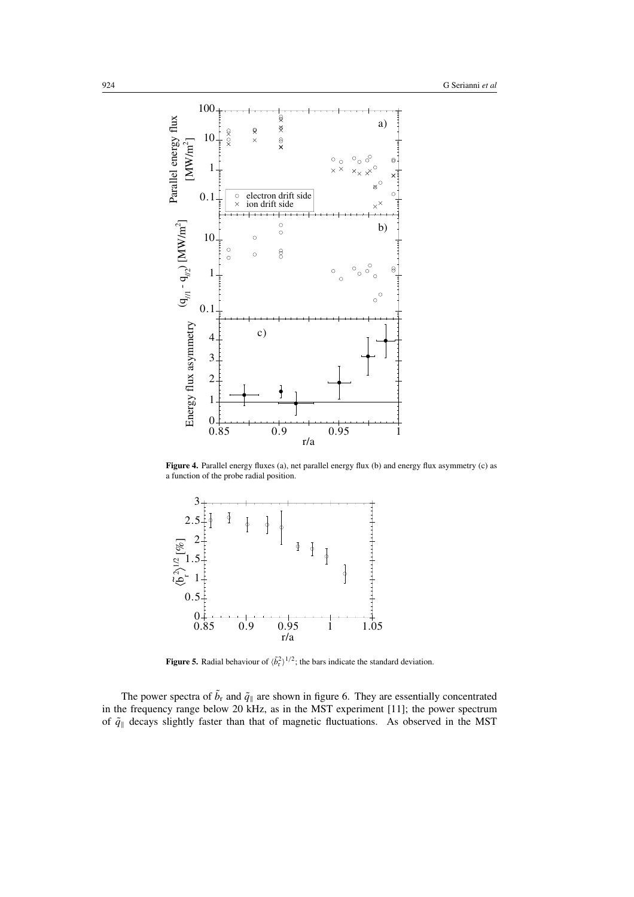

**Figure 4.** Parallel energy fluxes (a), net parallel energy flux (b) and energy flux asymmetry (c) as a function of the probe radial position.



**Figure 5.** Radial behaviour of  $\langle \tilde{b}_r^2 \rangle^{1/2}$ ; the bars indicate the standard deviation.

The power spectra of  $b_r$  and  $\tilde{q}_{\parallel}$  are shown in figure 6. They are essentially concentrated in the frequency range below 20 kHz, as in the MST experiment [11]; the power spectrum of  $\tilde{q}_{\parallel}$  decays slightly faster than that of magnetic fluctuations. As observed in the MST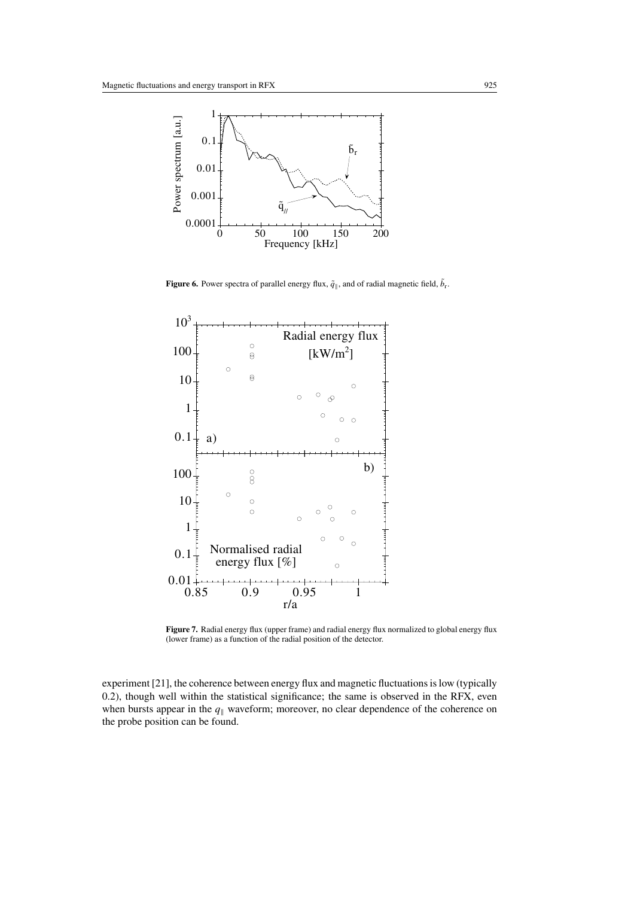

**Figure 6.** Power spectra of parallel energy flux,  $\tilde{q}_{\parallel}$ , and of radial magnetic field,  $b_{\rm r}$ .



Figure 7. Radial energy flux (upper frame) and radial energy flux normalized to global energy flux (lower frame) as a function of the radial position of the detector.

experiment [21], the coherence between energy flux and magnetic fluctuations is low (typically 0.2), though well within the statistical significance; the same is observed in the RFX, even when bursts appear in the  $q_{\parallel}$  waveform; moreover, no clear dependence of the coherence on the probe position can be found.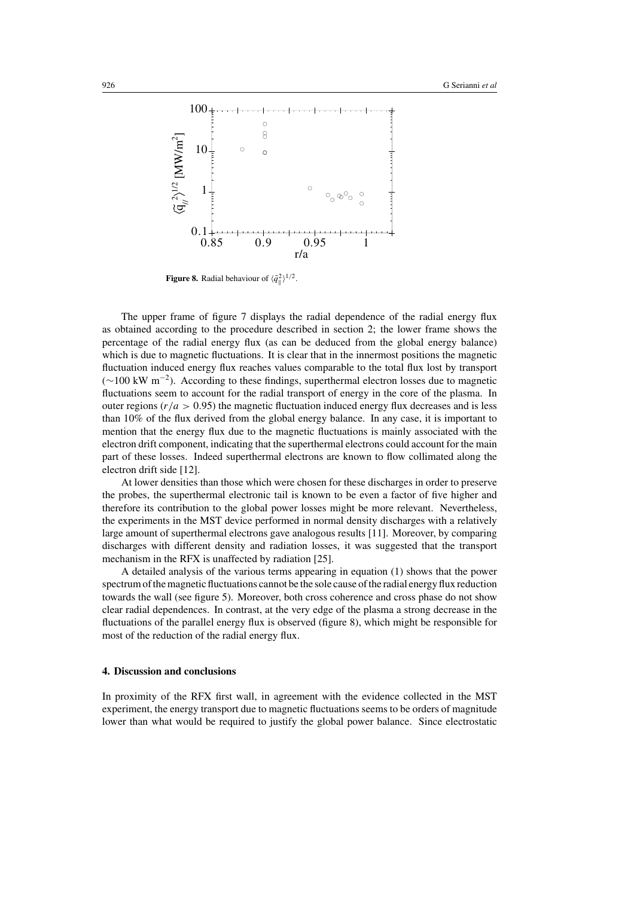

**Figure 8.** Radial behaviour of  $\langle \tilde{q}_{\parallel}^2 \rangle^{1/2}$ .

The upper frame of figure 7 displays the radial dependence of the radial energy flux as obtained according to the procedure described in section 2; the lower frame shows the percentage of the radial energy flux (as can be deduced from the global energy balance) which is due to magnetic fluctuations. It is clear that in the innermost positions the magnetic fluctuation induced energy flux reaches values comparable to the total flux lost by transport  $(\sim 100 \text{ kW m}^{-2})$ . According to these findings, superthermal electron losses due to magnetic fluctuations seem to account for the radial transport of energy in the core of the plasma. In outer regions ( $r/a > 0.95$ ) the magnetic fluctuation induced energy flux decreases and is less than 10% of the flux derived from the global energy balance. In any case, it is important to mention that the energy flux due to the magnetic fluctuations is mainly associated with the electron drift component, indicating that the superthermal electrons could account for the main part of these losses. Indeed superthermal electrons are known to flow collimated along the electron drift side [12].

At lower densities than those which were chosen for these discharges in order to preserve the probes, the superthermal electronic tail is known to be even a factor of five higher and therefore its contribution to the global power losses might be more relevant. Nevertheless, the experiments in the MST device performed in normal density discharges with a relatively large amount of superthermal electrons gave analogous results [11]. Moreover, by comparing discharges with different density and radiation losses, it was suggested that the transport mechanism in the RFX is unaffected by radiation [25].

A detailed analysis of the various terms appearing in equation (1) shows that the power spectrum of the magnetic fluctuations cannot be the sole cause of the radial energy flux reduction towards the wall (see figure 5). Moreover, both cross coherence and cross phase do not show clear radial dependences. In contrast, at the very edge of the plasma a strong decrease in the fluctuations of the parallel energy flux is observed (figure 8), which might be responsible for most of the reduction of the radial energy flux.

## **4. Discussion and conclusions**

In proximity of the RFX first wall, in agreement with the evidence collected in the MST experiment, the energy transport due to magnetic fluctuations seems to be orders of magnitude lower than what would be required to justify the global power balance. Since electrostatic